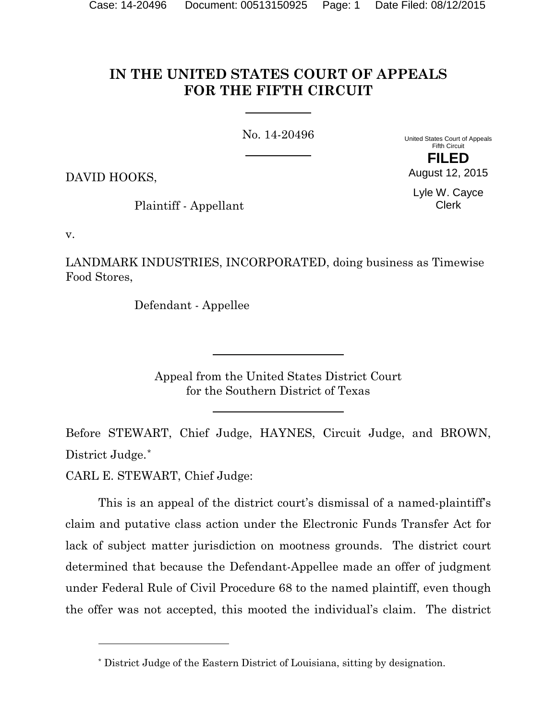# **IN THE UNITED STATES COURT OF APPEALS FOR THE FIFTH CIRCUIT**

No. 14-20496

United States Court of Appeals Fifth Circuit **FILED**

DAVID HOOKS,

Plaintiff - Appellant

Lyle W. Cayce Clerk

August 12, 2015

v.

LANDMARK INDUSTRIES, INCORPORATED, doing business as Timewise Food Stores,

Defendant - Appellee

Appeal from the United States District Court for the Southern District of Texas

Before STEWART, Chief Judge, HAYNES, Circuit Judge, and BROWN, District Judge.[\\*](#page-0-0)

CARL E. STEWART, Chief Judge:

l

This is an appeal of the district court's dismissal of a named-plaintiff's claim and putative class action under the Electronic Funds Transfer Act for lack of subject matter jurisdiction on mootness grounds. The district court determined that because the Defendant-Appellee made an offer of judgment under Federal Rule of Civil Procedure 68 to the named plaintiff, even though the offer was not accepted, this mooted the individual's claim. The district

<span id="page-0-0"></span><sup>\*</sup> District Judge of the Eastern District of Louisiana, sitting by designation.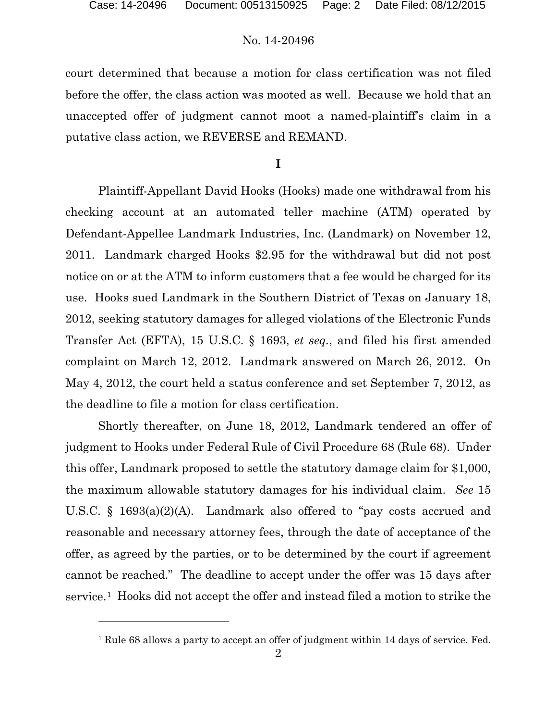$\overline{a}$ 

### No. 14-20496

court determined that because a motion for class certification was not filed before the offer, the class action was mooted as well. Because we hold that an unaccepted offer of judgment cannot moot a named-plaintiff's claim in a putative class action, we REVERSE and REMAND.

**I**

Plaintiff-Appellant David Hooks (Hooks) made one withdrawal from his checking account at an automated teller machine (ATM) operated by Defendant-Appellee Landmark Industries, Inc. (Landmark) on November 12, 2011. Landmark charged Hooks \$2.95 for the withdrawal but did not post notice on or at the ATM to inform customers that a fee would be charged for its use. Hooks sued Landmark in the Southern District of Texas on January 18, 2012, seeking statutory damages for alleged violations of the Electronic Funds Transfer Act (EFTA), 15 U.S.C. § 1693, *et seq.*, and filed his first amended complaint on March 12, 2012. Landmark answered on March 26, 2012. On May 4, 2012, the court held a status conference and set September 7, 2012, as the deadline to file a motion for class certification.

Shortly thereafter, on June 18, 2012, Landmark tendered an offer of judgment to Hooks under Federal Rule of Civil Procedure 68 (Rule 68). Under this offer, Landmark proposed to settle the statutory damage claim for \$1,000, the maximum allowable statutory damages for his individual claim. *See* 15 U.S.C. § 1693(a)(2)(A). Landmark also offered to "pay costs accrued and reasonable and necessary attorney fees, through the date of acceptance of the offer, as agreed by the parties, or to be determined by the court if agreement cannot be reached." The deadline to accept under the offer was 15 days after service.[1](#page-1-0) Hooks did not accept the offer and instead filed a motion to strike the

<span id="page-1-0"></span><sup>&</sup>lt;sup>1</sup> Rule 68 allows a party to accept an offer of judgment within 14 days of service. Fed.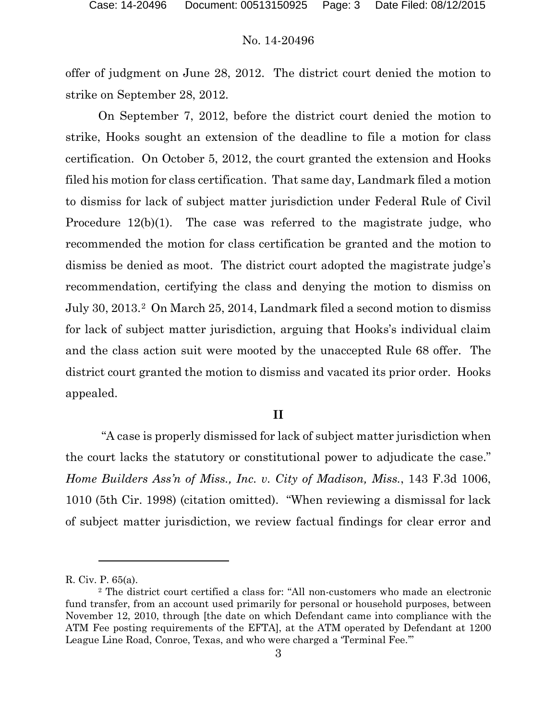offer of judgment on June 28, 2012. The district court denied the motion to strike on September 28, 2012.

On September 7, 2012, before the district court denied the motion to strike, Hooks sought an extension of the deadline to file a motion for class certification. On October 5, 2012, the court granted the extension and Hooks filed his motion for class certification. That same day, Landmark filed a motion to dismiss for lack of subject matter jurisdiction under Federal Rule of Civil Procedure 12(b)(1). The case was referred to the magistrate judge, who recommended the motion for class certification be granted and the motion to dismiss be denied as moot. The district court adopted the magistrate judge's recommendation, certifying the class and denying the motion to dismiss on July 30, 2013.[2](#page-2-0) On March 25, 2014, Landmark filed a second motion to dismiss for lack of subject matter jurisdiction, arguing that Hooks's individual claim and the class action suit were mooted by the unaccepted Rule 68 offer. The district court granted the motion to dismiss and vacated its prior order. Hooks appealed.

#### **II**

"A case is properly dismissed for lack of subject matter jurisdiction when the court lacks the statutory or constitutional power to adjudicate the case." *Home Builders Ass'n of Miss., Inc. v. City of Madison, Miss.*, 143 F.3d 1006, 1010 (5th Cir. 1998) (citation omitted). "When reviewing a dismissal for lack of subject matter jurisdiction, we review factual findings for clear error and

 $\overline{a}$ 

R. Civ. P. 65(a).

<span id="page-2-0"></span><sup>2</sup> The district court certified a class for: "All non-customers who made an electronic fund transfer, from an account used primarily for personal or household purposes, between November 12, 2010, through [the date on which Defendant came into compliance with the ATM Fee posting requirements of the EFTA], at the ATM operated by Defendant at 1200 League Line Road, Conroe, Texas, and who were charged a 'Terminal Fee.'"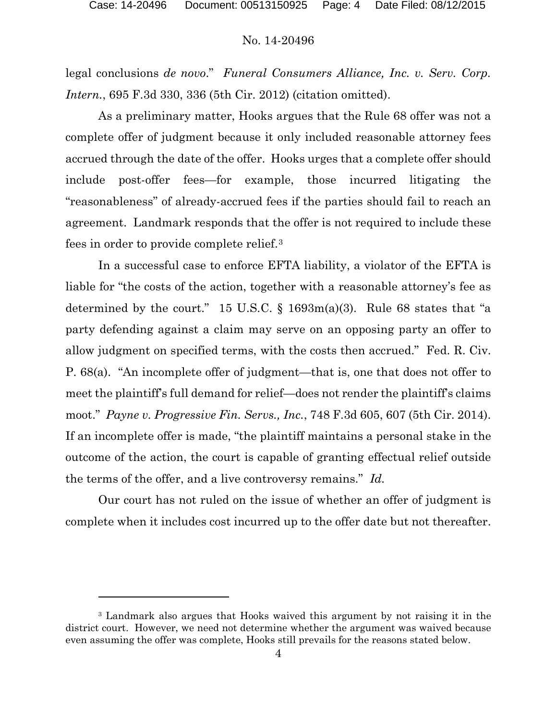legal conclusions *de novo*." *Funeral Consumers Alliance, Inc. v. Serv. Corp. Intern.*, 695 F.3d 330, 336 (5th Cir. 2012) (citation omitted).

As a preliminary matter, Hooks argues that the Rule 68 offer was not a complete offer of judgment because it only included reasonable attorney fees accrued through the date of the offer. Hooks urges that a complete offer should include post-offer fees—for example, those incurred litigating the "reasonableness" of already-accrued fees if the parties should fail to reach an agreement. Landmark responds that the offer is not required to include these fees in order to provide complete relief.[3](#page-3-0) 

In a successful case to enforce EFTA liability, a violator of the EFTA is liable for "the costs of the action, together with a reasonable attorney's fee as determined by the court." 15 U.S.C.  $\S$  1693m(a)(3). Rule 68 states that "a party defending against a claim may serve on an opposing party an offer to allow judgment on specified terms, with the costs then accrued." Fed. R. Civ. P. 68(a). "An incomplete offer of judgment—that is, one that does not offer to meet the plaintiff's full demand for relief—does not render the plaintiff's claims moot." *Payne v. Progressive Fin. Servs., Inc.*, 748 F.3d 605, 607 (5th Cir. 2014). If an incomplete offer is made, "the plaintiff maintains a personal stake in the outcome of the action, the court is capable of granting effectual relief outside the terms of the offer, and a live controversy remains." *Id.*

Our court has not ruled on the issue of whether an offer of judgment is complete when it includes cost incurred up to the offer date but not thereafter.

l

<span id="page-3-0"></span><sup>3</sup> Landmark also argues that Hooks waived this argument by not raising it in the district court. However, we need not determine whether the argument was waived because even assuming the offer was complete, Hooks still prevails for the reasons stated below.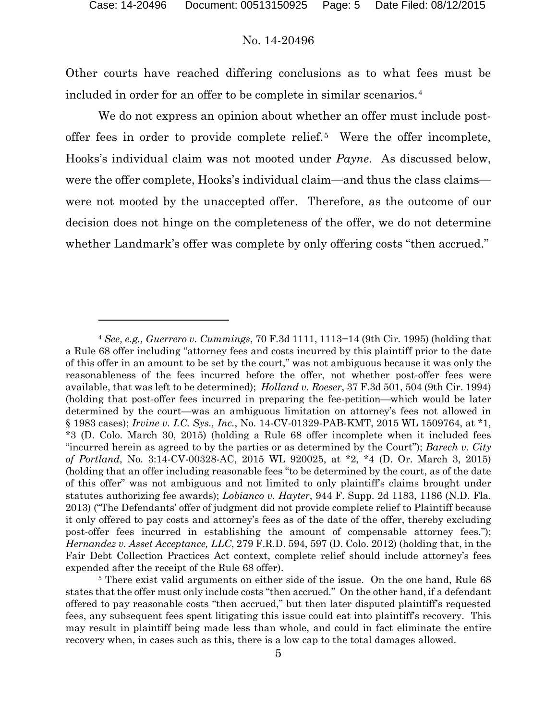Other courts have reached differing conclusions as to what fees must be included in order for an offer to be complete in similar scenarios.[4](#page-4-0) 

We do not express an opinion about whether an offer must include postoffer fees in order to provide complete relief.[5](#page-4-1) Were the offer incomplete, Hooks's individual claim was not mooted under *Payne*. As discussed below, were the offer complete, Hooks's individual claim—and thus the class claims were not mooted by the unaccepted offer. Therefore, as the outcome of our decision does not hinge on the completeness of the offer, we do not determine whether Landmark's offer was complete by only offering costs "then accrued."

l

<span id="page-4-0"></span><sup>4</sup> *See, e.g., Guerrero v. Cummings*, 70 F.3d 1111, 1113−14 (9th Cir. 1995) (holding that a Rule 68 offer including "attorney fees and costs incurred by this plaintiff prior to the date of this offer in an amount to be set by the court," was not ambiguous because it was only the reasonableness of the fees incurred before the offer, not whether post-offer fees were available, that was left to be determined); *Holland v. Roeser*, 37 F.3d 501, 504 (9th Cir. 1994) (holding that post-offer fees incurred in preparing the fee-petition—which would be later determined by the court—was an ambiguous limitation on attorney's fees not allowed in § 1983 cases); *Irvine v. I.C. Sys., Inc.*, No. 14-CV-01329-PAB-KMT, 2015 WL 1509764, at \*1, \*3 (D. Colo. March 30, 2015) (holding a Rule 68 offer incomplete when it included fees "incurred herein as agreed to by the parties or as determined by the Court"); *Barech v. City of Portland*, No. 3:14-CV-00328-AC, 2015 WL 920025, at \*2, \*4 (D. Or. March 3, 2015) (holding that an offer including reasonable fees "to be determined by the court, as of the date of this offer" was not ambiguous and not limited to only plaintiff's claims brought under statutes authorizing fee awards); *Lobianco v. Hayter*, 944 F. Supp. 2d 1183, 1186 (N.D. Fla. 2013) ("The Defendants' offer of judgment did not provide complete relief to Plaintiff because it only offered to pay costs and attorney's fees as of the date of the offer, thereby excluding post-offer fees incurred in establishing the amount of compensable attorney fees."); *Hernandez v. Asset Acceptance, LLC*, 279 F.R.D. 594, 597 (D. Colo. 2012) (holding that, in the Fair Debt Collection Practices Act context, complete relief should include attorney's fees expended after the receipt of the Rule 68 offer).

<span id="page-4-1"></span><sup>&</sup>lt;sup>5</sup> There exist valid arguments on either side of the issue. On the one hand, Rule 68 states that the offer must only include costs "then accrued." On the other hand, if a defendant offered to pay reasonable costs "then accrued," but then later disputed plaintiff's requested fees, any subsequent fees spent litigating this issue could eat into plaintiff's recovery. This may result in plaintiff being made less than whole, and could in fact eliminate the entire recovery when, in cases such as this, there is a low cap to the total damages allowed.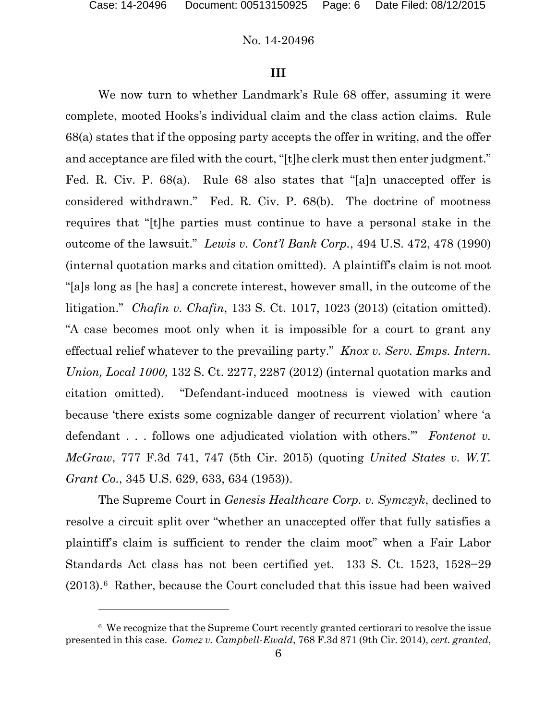$\overline{a}$ 

## No. 14-20496

#### **III**

We now turn to whether Landmark's Rule 68 offer, assuming it were complete, mooted Hooks's individual claim and the class action claims. Rule 68(a) states that if the opposing party accepts the offer in writing, and the offer and acceptance are filed with the court, "[t]he clerk must then enter judgment." Fed. R. Civ. P. 68(a). Rule 68 also states that "[a]n unaccepted offer is considered withdrawn." Fed. R. Civ. P. 68(b). The doctrine of mootness requires that "[t]he parties must continue to have a personal stake in the outcome of the lawsuit." *Lewis v. Cont'l Bank Corp.*, 494 U.S. 472, 478 (1990) (internal quotation marks and citation omitted). A plaintiff's claim is not moot "[a]s long as [he has] a concrete interest, however small, in the outcome of the litigation." *Chafin v. Chafin*, 133 S. Ct. 1017, 1023 (2013) (citation omitted). "A case becomes moot only when it is impossible for a court to grant any effectual relief whatever to the prevailing party." *Knox v. Serv. Emps. Intern. Union, Local 1000*, 132 S. Ct. 2277, 2287 (2012) (internal quotation marks and citation omitted). "Defendant-induced mootness is viewed with caution because 'there exists some cognizable danger of recurrent violation' where 'a defendant . . . follows one adjudicated violation with others.'" *Fontenot v. McGraw*, 777 F.3d 741, 747 (5th Cir. 2015) (quoting *United States v. W.T. Grant Co.*, 345 U.S. 629, 633, 634 (1953)).

The Supreme Court in *Genesis Healthcare Corp. v. Symczyk*, declined to resolve a circuit split over "whether an unaccepted offer that fully satisfies a plaintiff's claim is sufficient to render the claim moot" when a Fair Labor Standards Act class has not been certified yet. 133 S. Ct. 1523, 1528−29  $(2013).<sup>6</sup>$  $(2013).<sup>6</sup>$  $(2013).<sup>6</sup>$  Rather, because the Court concluded that this issue had been waived

<span id="page-5-0"></span><sup>6</sup> We recognize that the Supreme Court recently granted certiorari to resolve the issue presented in this case. *Gomez v. Campbell-Ewald*, 768 F.3d 871 (9th Cir. 2014), *cert. granted*,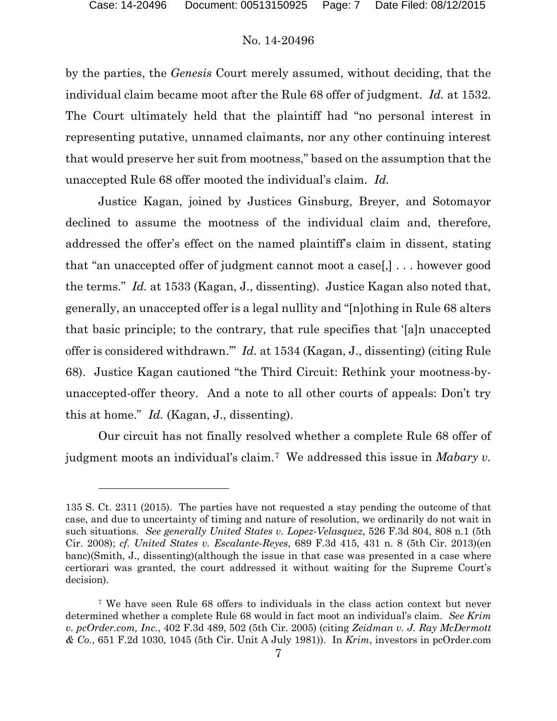$\overline{a}$ 

## No. 14-20496

by the parties, the *Genesis* Court merely assumed, without deciding, that the individual claim became moot after the Rule 68 offer of judgment. *Id.* at 1532. The Court ultimately held that the plaintiff had "no personal interest in representing putative, unnamed claimants, nor any other continuing interest that would preserve her suit from mootness," based on the assumption that the unaccepted Rule 68 offer mooted the individual's claim. *Id.*

Justice Kagan, joined by Justices Ginsburg, Breyer, and Sotomayor declined to assume the mootness of the individual claim and, therefore, addressed the offer's effect on the named plaintiff's claim in dissent, stating that "an unaccepted offer of judgment cannot moot a case[,] . . . however good the terms." *Id.* at 1533 (Kagan, J., dissenting). Justice Kagan also noted that, generally, an unaccepted offer is a legal nullity and "[n]othing in Rule 68 alters that basic principle; to the contrary, that rule specifies that '[a]n unaccepted offer is considered withdrawn.'" *Id.* at 1534 (Kagan, J., dissenting) (citing Rule 68). Justice Kagan cautioned "the Third Circuit: Rethink your mootness-byunaccepted-offer theory. And a note to all other courts of appeals: Don't try this at home." *Id.* (Kagan, J., dissenting).

Our circuit has not finally resolved whether a complete Rule 68 offer of judgment moots an individual's claim.[7](#page-6-0) We addressed this issue in *Mabary v.* 

<sup>135</sup> S. Ct. 2311 (2015). The parties have not requested a stay pending the outcome of that case, and due to uncertainty of timing and nature of resolution, we ordinarily do not wait in such situations. *See generally United States v. Lopez-Velasquez*, 526 F.3d 804, 808 n.1 (5th Cir. 2008); *cf. United States v. Escalante-Reyes*, 689 F.3d 415, 431 n. 8 (5th Cir. 2013)(en banc)(Smith, J., dissenting)(although the issue in that case was presented in a case where certiorari was granted, the court addressed it without waiting for the Supreme Court's decision).

<span id="page-6-0"></span><sup>7</sup> We have seen Rule 68 offers to individuals in the class action context but never determined whether a complete Rule 68 would in fact moot an individual's claim. *See Krim v. pcOrder.com, Inc.*, 402 F.3d 489, 502 (5th Cir. 2005) (citing *Zeidman v. J. Ray McDermott & Co.*, 651 F.2d 1030, 1045 (5th Cir. Unit A July 1981)). In *Krim*, investors in pcOrder.com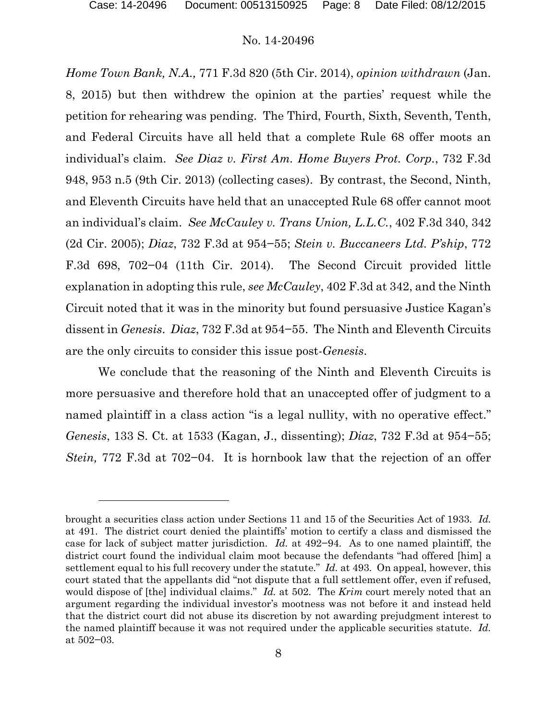l

#### No. 14-20496

*Home Town Bank, N.A.,* 771 F.3d 820 (5th Cir. 2014), *opinion withdrawn* (Jan. 8, 2015) but then withdrew the opinion at the parties' request while the petition for rehearing was pending. The Third, Fourth, Sixth, Seventh, Tenth, and Federal Circuits have all held that a complete Rule 68 offer moots an individual's claim. *See Diaz v. First Am. Home Buyers Prot. Corp.*, 732 F.3d 948, 953 n.5 (9th Cir. 2013) (collecting cases). By contrast, the Second, Ninth, and Eleventh Circuits have held that an unaccepted Rule 68 offer cannot moot an individual's claim. *See McCauley v. Trans Union, L.L.C.*, 402 F.3d 340, 342 (2d Cir. 2005); *Diaz*, 732 F.3d at 954−55; *Stein v. Buccaneers Ltd. P'ship*, 772 F.3d 698, 702−04 (11th Cir. 2014). The Second Circuit provided little explanation in adopting this rule, *see McCauley*, 402 F.3d at 342, and the Ninth Circuit noted that it was in the minority but found persuasive Justice Kagan's dissent in *Genesis*. *Diaz*, 732 F.3d at 954−55. The Ninth and Eleventh Circuits are the only circuits to consider this issue post-*Genesis*.

We conclude that the reasoning of the Ninth and Eleventh Circuits is more persuasive and therefore hold that an unaccepted offer of judgment to a named plaintiff in a class action "is a legal nullity, with no operative effect." *Genesis*, 133 S. Ct. at 1533 (Kagan, J., dissenting); *Diaz*, 732 F.3d at 954−55; *Stein,* 772 F.3d at 702−04. It is hornbook law that the rejection of an offer

brought a securities class action under Sections 11 and 15 of the Securities Act of 1933. *Id.* at 491. The district court denied the plaintiffs' motion to certify a class and dismissed the case for lack of subject matter jurisdiction. *Id.* at 492−94. As to one named plaintiff, the district court found the individual claim moot because the defendants "had offered [him] a settlement equal to his full recovery under the statute." *Id.* at 493. On appeal, however, this court stated that the appellants did "not dispute that a full settlement offer, even if refused, would dispose of [the] individual claims." *Id.* at 502. The *Krim* court merely noted that an argument regarding the individual investor's mootness was not before it and instead held that the district court did not abuse its discretion by not awarding prejudgment interest to the named plaintiff because it was not required under the applicable securities statute. *Id.* at 502−03.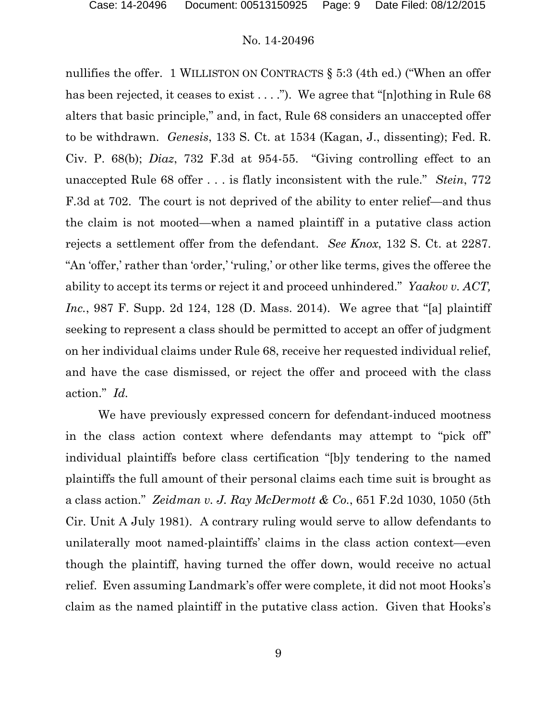nullifies the offer. 1 WILLISTON ON CONTRACTS § 5:3 (4th ed.) ("When an offer has been rejected, it ceases to exist . . . ."). We agree that "[n]othing in Rule 68 alters that basic principle," and, in fact, Rule 68 considers an unaccepted offer to be withdrawn. *Genesis*, 133 S. Ct. at 1534 (Kagan, J., dissenting); Fed. R. Civ. P. 68(b); *Diaz*, 732 F.3d at 954-55. "Giving controlling effect to an unaccepted Rule 68 offer . . . is flatly inconsistent with the rule." *Stein*, 772 F.3d at 702. The court is not deprived of the ability to enter relief—and thus the claim is not mooted—when a named plaintiff in a putative class action rejects a settlement offer from the defendant. *See Knox*, 132 S. Ct. at 2287. "An 'offer,' rather than 'order,' 'ruling,' or other like terms, gives the offeree the ability to accept its terms or reject it and proceed unhindered." *Yaakov v. ACT, Inc.*, 987 F. Supp. 2d 124, 128 (D. Mass. 2014). We agree that "[a] plaintiff seeking to represent a class should be permitted to accept an offer of judgment on her individual claims under Rule 68, receive her requested individual relief, and have the case dismissed, or reject the offer and proceed with the class action." *Id.*

We have previously expressed concern for defendant-induced mootness in the class action context where defendants may attempt to "pick off" individual plaintiffs before class certification "[b]y tendering to the named plaintiffs the full amount of their personal claims each time suit is brought as a class action." *Zeidman v. J. Ray McDermott & Co.*, 651 F.2d 1030, 1050 (5th Cir. Unit A July 1981). A contrary ruling would serve to allow defendants to unilaterally moot named-plaintiffs' claims in the class action context—even though the plaintiff, having turned the offer down, would receive no actual relief. Even assuming Landmark's offer were complete, it did not moot Hooks's claim as the named plaintiff in the putative class action. Given that Hooks's